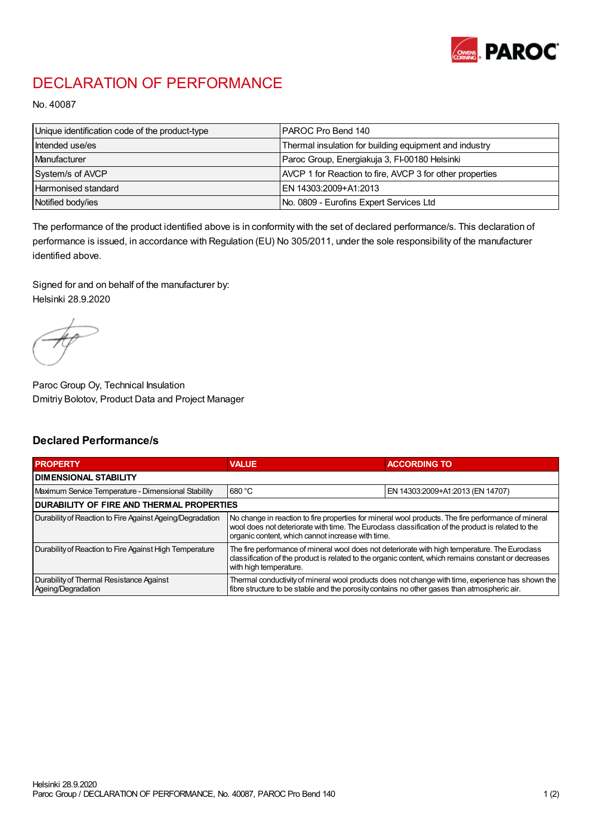

## DECLARATION OF PERFORMANCE

No. 40087

| Unique identification code of the product-type | IPAROC Pro Bend 140                                      |
|------------------------------------------------|----------------------------------------------------------|
| Intended use/es                                | Thermal insulation for building equipment and industry   |
| Manufacturer                                   | Paroc Group, Energiakuja 3, FI-00180 Helsinki            |
| System/s of AVCP                               | AVCP 1 for Reaction to fire, AVCP 3 for other properties |
| Harmonised standard                            | IEN 14303:2009+A1:2013                                   |
| Notified body/ies                              | No. 0809 - Eurofins Expert Services Ltd                  |

The performance of the product identified above is in conformity with the set of declared performance/s. This declaration of performance is issued, in accordance with Regulation (EU) No 305/2011, under the sole responsibility of the manufacturer identified above.

Signed for and on behalf of the manufacturer by: Helsinki 28.9.2020

Paroc Group Oy, Technical Insulation Dmitriy Bolotov, Product Data and Project Manager

## Declared Performance/s

| <b>PROPERTY</b>                                                | <b>VALUE</b>                                                                                                                                                                                                                                                   | <b>ACCORDING TO</b>              |  |
|----------------------------------------------------------------|----------------------------------------------------------------------------------------------------------------------------------------------------------------------------------------------------------------------------------------------------------------|----------------------------------|--|
| <b>DIMENSIONAL STABILITY</b>                                   |                                                                                                                                                                                                                                                                |                                  |  |
| Maximum Service Temperature - Dimensional Stability            | 680 °C                                                                                                                                                                                                                                                         | EN 14303:2009+A1:2013 (EN 14707) |  |
| <b>DURABILITY OF FIRE AND THERMAL PROPERTIES</b>               |                                                                                                                                                                                                                                                                |                                  |  |
| Durability of Reaction to Fire Against Ageing/Degradation      | No change in reaction to fire properties for mineral wool products. The fire performance of mineral<br>wool does not deteriorate with time. The Euroclass classification of the product is related to the<br>organic content, which cannot increase with time. |                                  |  |
| Durability of Reaction to Fire Against High Temperature        | The fire performance of mineral wool does not deteriorate with high temperature. The Euroclass<br>classification of the product is related to the organic content, which remains constant or decreases<br>with high temperature.                               |                                  |  |
| Durability of Thermal Resistance Against<br>Ageing/Degradation | Thermal conductivity of mineral wool products does not change with time, experience has shown the<br>fibre structure to be stable and the porosity contains no other gases than atmospheric air.                                                               |                                  |  |